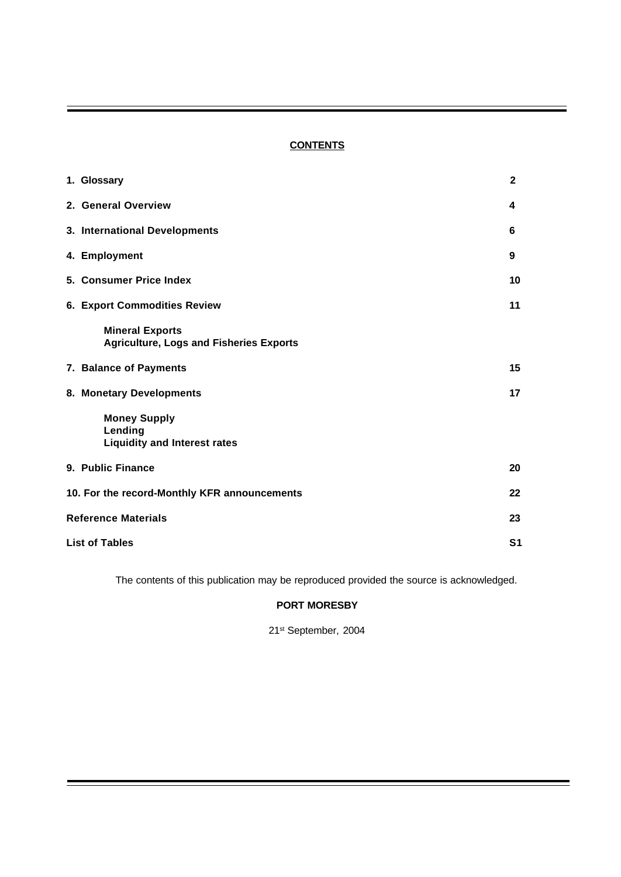# **CONTENTS**

| 1. Glossary                                                              | $\mathbf{2}$   |
|--------------------------------------------------------------------------|----------------|
| 2. General Overview                                                      | 4              |
| 3. International Developments                                            | 6              |
| 4. Employment                                                            | 9              |
| 5. Consumer Price Index                                                  | 10             |
| <b>6. Export Commodities Review</b>                                      | 11             |
| <b>Mineral Exports</b><br><b>Agriculture, Logs and Fisheries Exports</b> |                |
| 7. Balance of Payments                                                   | 15             |
| 8. Monetary Developments                                                 | 17             |
| <b>Money Supply</b><br>Lending<br><b>Liquidity and Interest rates</b>    |                |
| 9. Public Finance                                                        | 20             |
| 10. For the record-Monthly KFR announcements                             | 22             |
| <b>Reference Materials</b>                                               | 23             |
| <b>List of Tables</b>                                                    | S <sub>1</sub> |

The contents of this publication may be reproduced provided the source is acknowledged.

## **PORT MORESBY**

21st September, 2004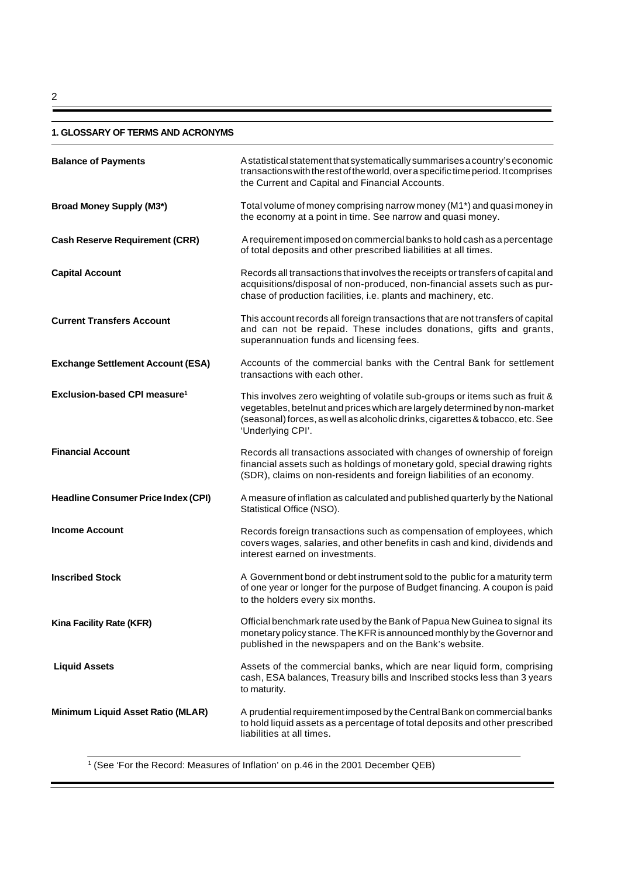## **1. GLOSSARY OF TERMS AND ACRONYMS**

| <b>Balance of Payments</b>                 | A statistical statement that systematically summarises a country's economic<br>transactions with the rest of the world, over a specific time period. It comprises<br>the Current and Capital and Financial Accounts.                                              |
|--------------------------------------------|-------------------------------------------------------------------------------------------------------------------------------------------------------------------------------------------------------------------------------------------------------------------|
| <b>Broad Money Supply (M3*)</b>            | Total volume of money comprising narrow money (M1*) and quasi money in<br>the economy at a point in time. See narrow and quasi money.                                                                                                                             |
| <b>Cash Reserve Requirement (CRR)</b>      | A requirement imposed on commercial banks to hold cash as a percentage<br>of total deposits and other prescribed liabilities at all times.                                                                                                                        |
| <b>Capital Account</b>                     | Records all transactions that involves the receipts or transfers of capital and<br>acquisitions/disposal of non-produced, non-financial assets such as pur-<br>chase of production facilities, i.e. plants and machinery, etc.                                    |
| <b>Current Transfers Account</b>           | This account records all foreign transactions that are not transfers of capital<br>and can not be repaid. These includes donations, gifts and grants,<br>superannuation funds and licensing fees.                                                                 |
| <b>Exchange Settlement Account (ESA)</b>   | Accounts of the commercial banks with the Central Bank for settlement<br>transactions with each other.                                                                                                                                                            |
| Exclusion-based CPI measure <sup>1</sup>   | This involves zero weighting of volatile sub-groups or items such as fruit &<br>vegetables, betelnut and prices which are largely determined by non-market<br>(seasonal) forces, as well as alcoholic drinks, cigarettes & tobacco, etc. See<br>'Underlying CPI'. |
| <b>Financial Account</b>                   | Records all transactions associated with changes of ownership of foreign<br>financial assets such as holdings of monetary gold, special drawing rights<br>(SDR), claims on non-residents and foreign liabilities of an economy.                                   |
| <b>Headline Consumer Price Index (CPI)</b> | A measure of inflation as calculated and published quarterly by the National<br>Statistical Office (NSO).                                                                                                                                                         |
| <b>Income Account</b>                      | Records foreign transactions such as compensation of employees, which<br>covers wages, salaries, and other benefits in cash and kind, dividends and<br>interest earned on investments.                                                                            |
| <b>Inscribed Stock</b>                     | A Government bond or debt instrument sold to the public for a maturity term<br>of one year or longer for the purpose of Budget financing. A coupon is paid<br>to the holders every six months.                                                                    |
| Kina Facility Rate (KFR)                   | Official benchmark rate used by the Bank of Papua New Guinea to signal its<br>monetary policy stance. The KFR is announced monthly by the Governor and<br>published in the newspapers and on the Bank's website.                                                  |
| <b>Liquid Assets</b>                       | Assets of the commercial banks, which are near liquid form, comprising<br>cash, ESA balances, Treasury bills and Inscribed stocks less than 3 years<br>to maturity.                                                                                               |
| Minimum Liquid Asset Ratio (MLAR)          | A prudential requirement imposed by the Central Bank on commercial banks<br>to hold liquid assets as a percentage of total deposits and other prescribed<br>liabilities at all times.                                                                             |

1 (See 'For the Record: Measures of Inflation' on p.46 in the 2001 December QEB)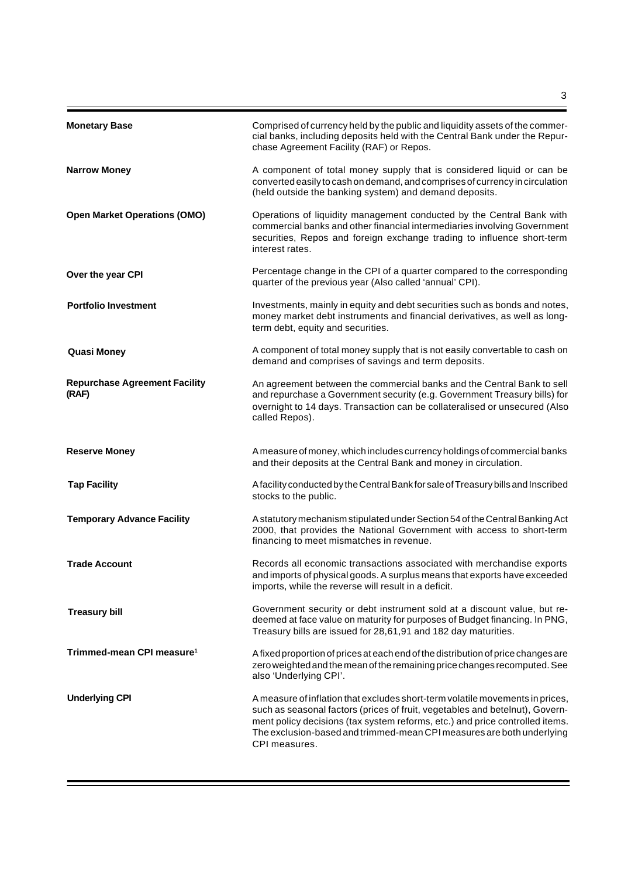| <b>Monetary Base</b>                          | Comprised of currency held by the public and liquidity assets of the commer-<br>cial banks, including deposits held with the Central Bank under the Repur-<br>chase Agreement Facility (RAF) or Repos.                                                                                                                                  |
|-----------------------------------------------|-----------------------------------------------------------------------------------------------------------------------------------------------------------------------------------------------------------------------------------------------------------------------------------------------------------------------------------------|
| <b>Narrow Money</b>                           | A component of total money supply that is considered liquid or can be<br>converted easily to cash on demand, and comprises of currency in circulation<br>(held outside the banking system) and demand deposits.                                                                                                                         |
| <b>Open Market Operations (OMO)</b>           | Operations of liquidity management conducted by the Central Bank with<br>commercial banks and other financial intermediaries involving Government<br>securities, Repos and foreign exchange trading to influence short-term<br>interest rates.                                                                                          |
| Over the year CPI                             | Percentage change in the CPI of a quarter compared to the corresponding<br>quarter of the previous year (Also called 'annual' CPI).                                                                                                                                                                                                     |
| <b>Portfolio Investment</b>                   | Investments, mainly in equity and debt securities such as bonds and notes,<br>money market debt instruments and financial derivatives, as well as long-<br>term debt, equity and securities.                                                                                                                                            |
| <b>Quasi Money</b>                            | A component of total money supply that is not easily convertable to cash on<br>demand and comprises of savings and term deposits.                                                                                                                                                                                                       |
| <b>Repurchase Agreement Facility</b><br>(RAF) | An agreement between the commercial banks and the Central Bank to sell<br>and repurchase a Government security (e.g. Government Treasury bills) for<br>overnight to 14 days. Transaction can be collateralised or unsecured (Also<br>called Repos).                                                                                     |
| <b>Reserve Money</b>                          | A measure of money, which includes currency holdings of commercial banks<br>and their deposits at the Central Bank and money in circulation.                                                                                                                                                                                            |
| <b>Tap Facility</b>                           | A facility conducted by the Central Bank for sale of Treasury bills and Inscribed<br>stocks to the public.                                                                                                                                                                                                                              |
| <b>Temporary Advance Facility</b>             | A statutory mechanism stipulated under Section 54 of the Central Banking Act<br>2000, that provides the National Government with access to short-term<br>financing to meet mismatches in revenue.                                                                                                                                       |
| <b>Trade Account</b>                          | Records all economic transactions associated with merchandise exports<br>and imports of physical goods. A surplus means that exports have exceeded<br>imports, while the reverse will result in a deficit.                                                                                                                              |
| <b>Treasury bill</b>                          | Government security or debt instrument sold at a discount value, but re-<br>deemed at face value on maturity for purposes of Budget financing. In PNG,<br>Treasury bills are issued for 28,61,91 and 182 day maturities.                                                                                                                |
| Trimmed-mean CPI measure <sup>1</sup>         | A fixed proportion of prices at each end of the distribution of price changes are<br>zero weighted and the mean of the remaining price changes recomputed. See<br>also 'Underlying CPI'.                                                                                                                                                |
| <b>Underlying CPI</b>                         | A measure of inflation that excludes short-term volatile movements in prices,<br>such as seasonal factors (prices of fruit, vegetables and betelnut), Govern-<br>ment policy decisions (tax system reforms, etc.) and price controlled items.<br>The exclusion-based and trimmed-mean CPI measures are both underlying<br>CPI measures. |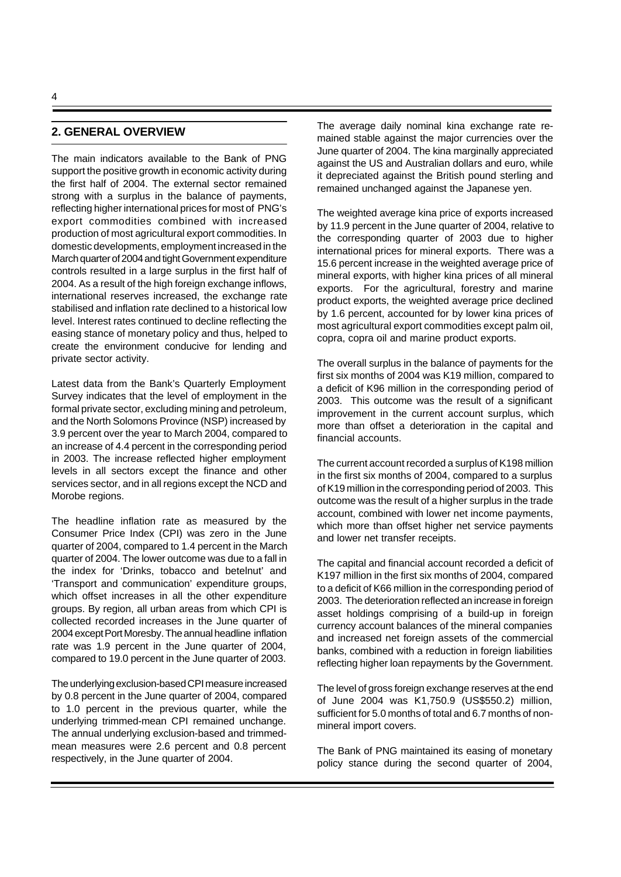## **2. GENERAL OVERVIEW**

The main indicators available to the Bank of PNG support the positive growth in economic activity during the first half of 2004. The external sector remained strong with a surplus in the balance of payments, reflecting higher international prices for most of PNG's export commodities combined with increased production of most agricultural export commodities. In domestic developments, employment increased in the March quarter of 2004 and tight Government expenditure controls resulted in a large surplus in the first half of 2004. As a result of the high foreign exchange inflows, international reserves increased, the exchange rate stabilised and inflation rate declined to a historical low level. Interest rates continued to decline reflecting the easing stance of monetary policy and thus, helped to create the environment conducive for lending and private sector activity.

Latest data from the Bank's Quarterly Employment Survey indicates that the level of employment in the formal private sector, excluding mining and petroleum, and the North Solomons Province (NSP) increased by 3.9 percent over the year to March 2004, compared to an increase of 4.4 percent in the corresponding period in 2003. The increase reflected higher employment levels in all sectors except the finance and other services sector, and in all regions except the NCD and Morobe regions.

The headline inflation rate as measured by the Consumer Price Index (CPI) was zero in the June quarter of 2004, compared to 1.4 percent in the March quarter of 2004. The lower outcome was due to a fall in the index for 'Drinks, tobacco and betelnut' and 'Transport and communication' expenditure groups, which offset increases in all the other expenditure groups. By region, all urban areas from which CPI is collected recorded increases in the June quarter of 2004 except Port Moresby. The annual headline inflation rate was 1.9 percent in the June quarter of 2004, compared to 19.0 percent in the June quarter of 2003.

The underlying exclusion-based CPI measure increased by 0.8 percent in the June quarter of 2004, compared to 1.0 percent in the previous quarter, while the underlying trimmed-mean CPI remained unchange. The annual underlying exclusion-based and trimmedmean measures were 2.6 percent and 0.8 percent respectively, in the June quarter of 2004.

The average daily nominal kina exchange rate remained stable against the major currencies over the June quarter of 2004. The kina marginally appreciated against the US and Australian dollars and euro, while it depreciated against the British pound sterling and remained unchanged against the Japanese yen.

The weighted average kina price of exports increased by 11.9 percent in the June quarter of 2004, relative to the corresponding quarter of 2003 due to higher international prices for mineral exports. There was a 15.6 percent increase in the weighted average price of mineral exports, with higher kina prices of all mineral exports. For the agricultural, forestry and marine product exports, the weighted average price declined by 1.6 percent, accounted for by lower kina prices of most agricultural export commodities except palm oil, copra, copra oil and marine product exports.

The overall surplus in the balance of payments for the first six months of 2004 was K19 million, compared to a deficit of K96 million in the corresponding period of 2003. This outcome was the result of a significant improvement in the current account surplus, which more than offset a deterioration in the capital and financial accounts.

The current account recorded a surplus of K198 million in the first six months of 2004, compared to a surplus of K19 million in the corresponding period of 2003. This outcome was the result of a higher surplus in the trade account, combined with lower net income payments, which more than offset higher net service payments and lower net transfer receipts.

The capital and financial account recorded a deficit of K197 million in the first six months of 2004, compared to a deficit of K66 million in the corresponding period of 2003. The deterioration reflected an increase in foreign asset holdings comprising of a build-up in foreign currency account balances of the mineral companies and increased net foreign assets of the commercial banks, combined with a reduction in foreign liabilities reflecting higher loan repayments by the Government.

The level of gross foreign exchange reserves at the end of June 2004 was K1,750.9 (US\$550.2) million, sufficient for 5.0 months of total and 6.7 months of nonmineral import covers.

The Bank of PNG maintained its easing of monetary policy stance during the second quarter of 2004,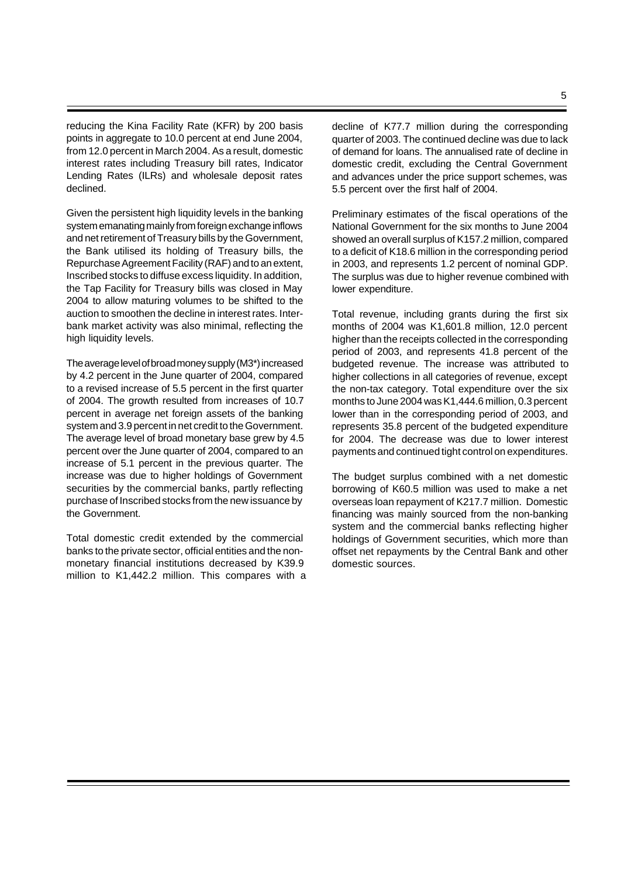reducing the Kina Facility Rate (KFR) by 200 basis points in aggregate to 10.0 percent at end June 2004, from 12.0 percent in March 2004. As a result, domestic interest rates including Treasury bill rates, Indicator Lending Rates (ILRs) and wholesale deposit rates declined.

Given the persistent high liquidity levels in the banking system emanating mainly from foreign exchange inflows and net retirement of Treasury bills by the Government, the Bank utilised its holding of Treasury bills, the Repurchase Agreement Facility (RAF) and to an extent, Inscribed stocks to diffuse excess liquidity. In addition, the Tap Facility for Treasury bills was closed in May 2004 to allow maturing volumes to be shifted to the auction to smoothen the decline in interest rates. Interbank market activity was also minimal, reflecting the high liquidity levels.

The average level of broad money supply (M3\*) increased by 4.2 percent in the June quarter of 2004, compared to a revised increase of 5.5 percent in the first quarter of 2004. The growth resulted from increases of 10.7 percent in average net foreign assets of the banking system and 3.9 percent in net credit to the Government. The average level of broad monetary base grew by 4.5 percent over the June quarter of 2004, compared to an increase of 5.1 percent in the previous quarter. The increase was due to higher holdings of Government securities by the commercial banks, partly reflecting purchase of Inscribed stocks from the new issuance by the Government.

Total domestic credit extended by the commercial banks to the private sector, official entities and the nonmonetary financial institutions decreased by K39.9 million to K1,442.2 million. This compares with a decline of K77.7 million during the corresponding quarter of 2003. The continued decline was due to lack of demand for loans. The annualised rate of decline in domestic credit, excluding the Central Government and advances under the price support schemes, was 5.5 percent over the first half of 2004.

Preliminary estimates of the fiscal operations of the National Government for the six months to June 2004 showed an overall surplus of K157.2 million, compared to a deficit of K18.6 million in the corresponding period in 2003, and represents 1.2 percent of nominal GDP. The surplus was due to higher revenue combined with lower expenditure.

Total revenue, including grants during the first six months of 2004 was K1,601.8 million, 12.0 percent higher than the receipts collected in the corresponding period of 2003, and represents 41.8 percent of the budgeted revenue. The increase was attributed to higher collections in all categories of revenue, except the non-tax category. Total expenditure over the six months to June 2004 was K1,444.6 million, 0.3 percent lower than in the corresponding period of 2003, and represents 35.8 percent of the budgeted expenditure for 2004. The decrease was due to lower interest payments and continued tight control on expenditures.

The budget surplus combined with a net domestic borrowing of K60.5 million was used to make a net overseas loan repayment of K217.7 million. Domestic financing was mainly sourced from the non-banking system and the commercial banks reflecting higher holdings of Government securities, which more than offset net repayments by the Central Bank and other domestic sources.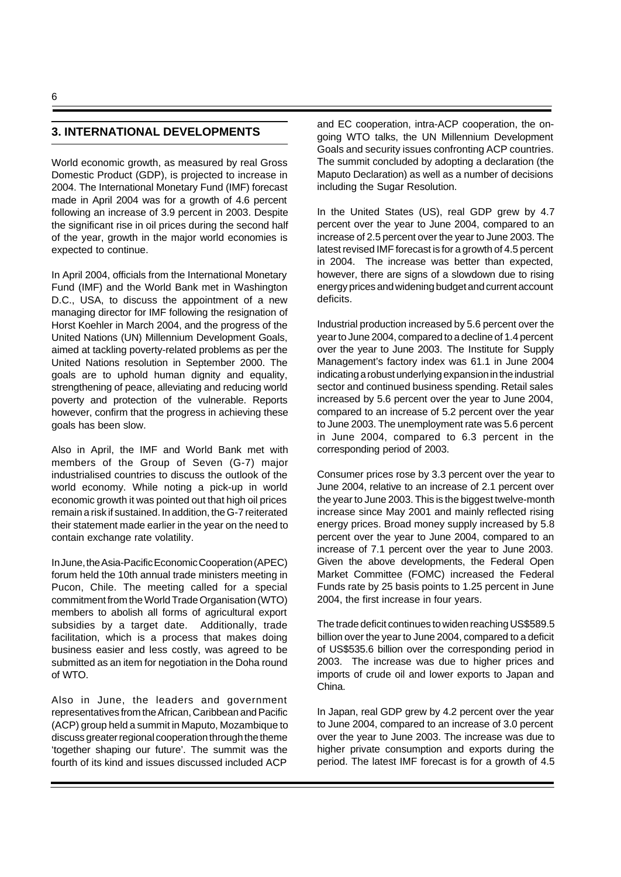## **3. INTERNATIONAL DEVELOPMENTS**

World economic growth, as measured by real Gross Domestic Product (GDP), is projected to increase in 2004. The International Monetary Fund (IMF) forecast made in April 2004 was for a growth of 4.6 percent following an increase of 3.9 percent in 2003. Despite the significant rise in oil prices during the second half of the year, growth in the major world economies is expected to continue.

In April 2004, officials from the International Monetary Fund (IMF) and the World Bank met in Washington D.C., USA, to discuss the appointment of a new managing director for IMF following the resignation of Horst Koehler in March 2004, and the progress of the United Nations (UN) Millennium Development Goals, aimed at tackling poverty-related problems as per the United Nations resolution in September 2000. The goals are to uphold human dignity and equality, strengthening of peace, alleviating and reducing world poverty and protection of the vulnerable. Reports however, confirm that the progress in achieving these goals has been slow.

Also in April, the IMF and World Bank met with members of the Group of Seven (G-7) major industrialised countries to discuss the outlook of the world economy. While noting a pick-up in world economic growth it was pointed out that high oil prices remain a risk if sustained. In addition, the G-7 reiterated their statement made earlier in the year on the need to contain exchange rate volatility.

In June, the Asia-Pacific Economic Cooperation (APEC) forum held the 10th annual trade ministers meeting in Pucon, Chile. The meeting called for a special commitment from the World Trade Organisation (WTO) members to abolish all forms of agricultural export subsidies by a target date. Additionally, trade facilitation, which is a process that makes doing business easier and less costly, was agreed to be submitted as an item for negotiation in the Doha round of WTO.

Also in June, the leaders and government representatives from the African, Caribbean and Pacific (ACP) group held a summit in Maputo, Mozambique to discuss greater regional cooperation through the theme 'together shaping our future'. The summit was the fourth of its kind and issues discussed included ACP

and EC cooperation, intra-ACP cooperation, the ongoing WTO talks, the UN Millennium Development Goals and security issues confronting ACP countries. The summit concluded by adopting a declaration (the Maputo Declaration) as well as a number of decisions including the Sugar Resolution.

In the United States (US), real GDP grew by 4.7 percent over the year to June 2004, compared to an increase of 2.5 percent over the year to June 2003. The latest revised IMF forecast is for a growth of 4.5 percent in 2004. The increase was better than expected, however, there are signs of a slowdown due to rising energy prices and widening budget and current account deficits.

Industrial production increased by 5.6 percent over the year to June 2004, compared to a decline of 1.4 percent over the year to June 2003. The Institute for Supply Management's factory index was 61.1 in June 2004 indicating a robust underlying expansion in the industrial sector and continued business spending. Retail sales increased by 5.6 percent over the year to June 2004, compared to an increase of 5.2 percent over the year to June 2003. The unemployment rate was 5.6 percent in June 2004, compared to 6.3 percent in the corresponding period of 2003.

Consumer prices rose by 3.3 percent over the year to June 2004, relative to an increase of 2.1 percent over the year to June 2003. This is the biggest twelve-month increase since May 2001 and mainly reflected rising energy prices. Broad money supply increased by 5.8 percent over the year to June 2004, compared to an increase of 7.1 percent over the year to June 2003. Given the above developments, the Federal Open Market Committee (FOMC) increased the Federal Funds rate by 25 basis points to 1.25 percent in June 2004, the first increase in four years.

The trade deficit continues to widen reaching US\$589.5 billion over the year to June 2004, compared to a deficit of US\$535.6 billion over the corresponding period in 2003. The increase was due to higher prices and imports of crude oil and lower exports to Japan and China.

In Japan, real GDP grew by 4.2 percent over the year to June 2004, compared to an increase of 3.0 percent over the year to June 2003. The increase was due to higher private consumption and exports during the period. The latest IMF forecast is for a growth of 4.5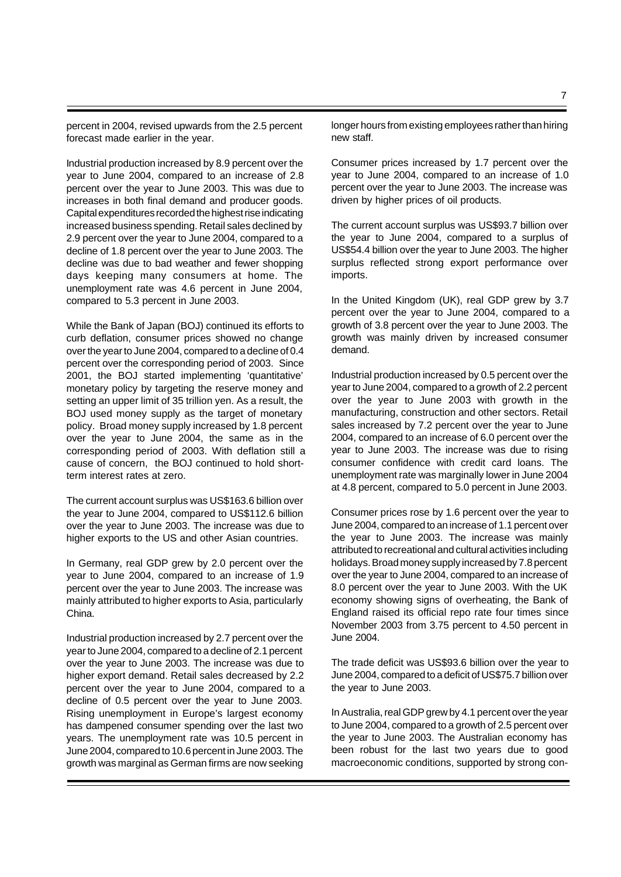percent in 2004, revised upwards from the 2.5 percent forecast made earlier in the year.

Industrial production increased by 8.9 percent over the year to June 2004, compared to an increase of 2.8 percent over the year to June 2003. This was due to increases in both final demand and producer goods. Capital expenditures recorded the highest rise indicating increased business spending. Retail sales declined by 2.9 percent over the year to June 2004, compared to a decline of 1.8 percent over the year to June 2003. The decline was due to bad weather and fewer shopping days keeping many consumers at home. The unemployment rate was 4.6 percent in June 2004, compared to 5.3 percent in June 2003.

While the Bank of Japan (BOJ) continued its efforts to curb deflation, consumer prices showed no change over the year to June 2004, compared to a decline of 0.4 percent over the corresponding period of 2003. Since 2001, the BOJ started implementing 'quantitative' monetary policy by targeting the reserve money and setting an upper limit of 35 trillion yen. As a result, the BOJ used money supply as the target of monetary policy. Broad money supply increased by 1.8 percent over the year to June 2004, the same as in the corresponding period of 2003. With deflation still a cause of concern, the BOJ continued to hold shortterm interest rates at zero.

The current account surplus was US\$163.6 billion over the year to June 2004, compared to US\$112.6 billion over the year to June 2003. The increase was due to higher exports to the US and other Asian countries.

In Germany, real GDP grew by 2.0 percent over the year to June 2004, compared to an increase of 1.9 percent over the year to June 2003. The increase was mainly attributed to higher exports to Asia, particularly China.

Industrial production increased by 2.7 percent over the year to June 2004, compared to a decline of 2.1 percent over the year to June 2003. The increase was due to higher export demand. Retail sales decreased by 2.2 percent over the year to June 2004, compared to a decline of 0.5 percent over the year to June 2003. Rising unemployment in Europe's largest economy has dampened consumer spending over the last two years. The unemployment rate was 10.5 percent in June 2004, compared to 10.6 percent in June 2003. The growth was marginal as German firms are now seeking

longer hours from existing employees rather than hiring new staff.

Consumer prices increased by 1.7 percent over the year to June 2004, compared to an increase of 1.0 percent over the year to June 2003. The increase was driven by higher prices of oil products.

The current account surplus was US\$93.7 billion over the year to June 2004, compared to a surplus of US\$54.4 billion over the year to June 2003. The higher surplus reflected strong export performance over imports.

In the United Kingdom (UK), real GDP grew by 3.7 percent over the year to June 2004, compared to a growth of 3.8 percent over the year to June 2003. The growth was mainly driven by increased consumer demand.

Industrial production increased by 0.5 percent over the year to June 2004, compared to a growth of 2.2 percent over the year to June 2003 with growth in the manufacturing, construction and other sectors. Retail sales increased by 7.2 percent over the year to June 2004, compared to an increase of 6.0 percent over the year to June 2003. The increase was due to rising consumer confidence with credit card loans. The unemployment rate was marginally lower in June 2004 at 4.8 percent, compared to 5.0 percent in June 2003.

Consumer prices rose by 1.6 percent over the year to June 2004, compared to an increase of 1.1 percent over the year to June 2003. The increase was mainly attributed to recreational and cultural activities including holidays. Broad money supply increased by 7.8 percent over the year to June 2004, compared to an increase of 8.0 percent over the year to June 2003. With the UK economy showing signs of overheating, the Bank of England raised its official repo rate four times since November 2003 from 3.75 percent to 4.50 percent in June 2004.

The trade deficit was US\$93.6 billion over the year to June 2004, compared to a deficit of US\$75.7 billion over the year to June 2003.

In Australia, real GDP grew by 4.1 percent over the year to June 2004, compared to a growth of 2.5 percent over the year to June 2003. The Australian economy has been robust for the last two years due to good macroeconomic conditions, supported by strong con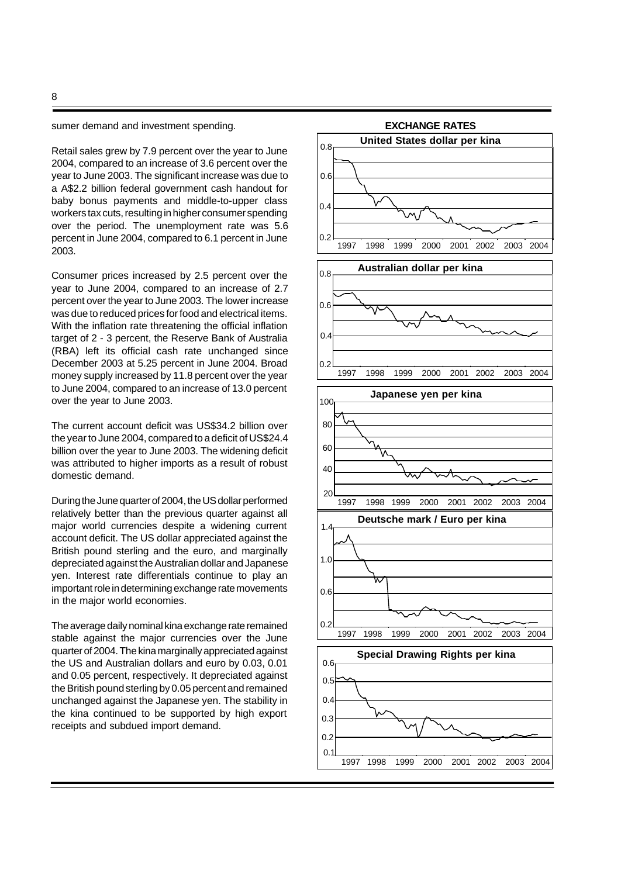8

sumer demand and investment spending.

Retail sales grew by 7.9 percent over the year to June 2004, compared to an increase of 3.6 percent over the year to June 2003. The significant increase was due to a A\$2.2 billion federal government cash handout for baby bonus payments and middle-to-upper class workers tax cuts, resulting in higher consumer spending over the period. The unemployment rate was 5.6 percent in June 2004, compared to 6.1 percent in June 2003.

Consumer prices increased by 2.5 percent over the year to June 2004, compared to an increase of 2.7 percent over the year to June 2003. The lower increase was due to reduced prices for food and electrical items. With the inflation rate threatening the official inflation target of 2 - 3 percent, the Reserve Bank of Australia (RBA) left its official cash rate unchanged since December 2003 at 5.25 percent in June 2004. Broad money supply increased by 11.8 percent over the year to June 2004, compared to an increase of 13.0 percent over the year to June 2003.

The current account deficit was US\$34.2 billion over the year to June 2004, compared to a deficit of US\$24.4 billion over the year to June 2003. The widening deficit was attributed to higher imports as a result of robust domestic demand.

During the June quarter of 2004, the US dollar performed relatively better than the previous quarter against all major world currencies despite a widening current account deficit. The US dollar appreciated against the British pound sterling and the euro, and marginally depreciated against the Australian dollar and Japanese yen. Interest rate differentials continue to play an important role in determining exchange rate movements in the major world economies.

The average daily nominal kina exchange rate remained stable against the major currencies over the June quarter of 2004. The kina marginally appreciated against the US and Australian dollars and euro by 0.03, 0.01 and 0.05 percent, respectively. It depreciated against the British pound sterling by 0.05 percent and remained unchanged against the Japanese yen. The stability in the kina continued to be supported by high export receipts and subdued import demand.

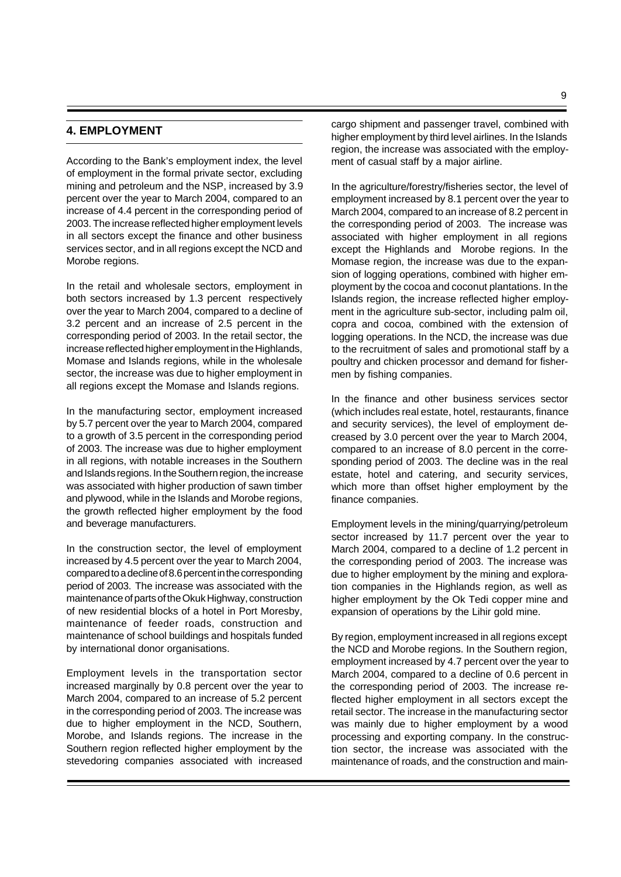## **4. EMPLOYMENT**

According to the Bank's employment index, the level of employment in the formal private sector, excluding mining and petroleum and the NSP, increased by 3.9 percent over the year to March 2004, compared to an increase of 4.4 percent in the corresponding period of 2003. The increase reflected higher employment levels in all sectors except the finance and other business services sector, and in all regions except the NCD and Morobe regions.

In the retail and wholesale sectors, employment in both sectors increased by 1.3 percent respectively over the year to March 2004, compared to a decline of 3.2 percent and an increase of 2.5 percent in the corresponding period of 2003. In the retail sector, the increase reflected higher employment in the Highlands, Momase and Islands regions, while in the wholesale sector, the increase was due to higher employment in all regions except the Momase and Islands regions.

In the manufacturing sector, employment increased by 5.7 percent over the year to March 2004, compared to a growth of 3.5 percent in the corresponding period of 2003. The increase was due to higher employment in all regions, with notable increases in the Southern and Islands regions. In the Southern region, the increase was associated with higher production of sawn timber and plywood, while in the Islands and Morobe regions, the growth reflected higher employment by the food and beverage manufacturers.

In the construction sector, the level of employment increased by 4.5 percent over the year to March 2004, compared to a decline of 8.6 percent in the corresponding period of 2003. The increase was associated with the maintenance of parts of the Okuk Highway, construction of new residential blocks of a hotel in Port Moresby, maintenance of feeder roads, construction and maintenance of school buildings and hospitals funded by international donor organisations.

Employment levels in the transportation sector increased marginally by 0.8 percent over the year to March 2004, compared to an increase of 5.2 percent in the corresponding period of 2003. The increase was due to higher employment in the NCD, Southern, Morobe, and Islands regions. The increase in the Southern region reflected higher employment by the stevedoring companies associated with increased

cargo shipment and passenger travel, combined with higher employment by third level airlines. In the Islands region, the increase was associated with the employment of casual staff by a major airline.

In the agriculture/forestry/fisheries sector, the level of employment increased by 8.1 percent over the year to March 2004, compared to an increase of 8.2 percent in the corresponding period of 2003.The increase was associated with higher employment in all regions except the Highlands and Morobe regions. In the Momase region, the increase was due to the expansion of logging operations, combined with higher employment by the cocoa and coconut plantations. In the Islands region, the increase reflected higher employment in the agriculture sub-sector, including palm oil, copra and cocoa, combined with the extension of logging operations. In the NCD, the increase was due to the recruitment of sales and promotional staff by a poultry and chicken processor and demand for fishermen by fishing companies.

In the finance and other business services sector (which includes real estate, hotel, restaurants, finance and security services), the level of employment decreased by 3.0 percent over the year to March 2004, compared to an increase of 8.0 percent in the corresponding period of 2003. The decline was in the real estate, hotel and catering, and security services, which more than offset higher employment by the finance companies.

Employment levels in the mining/quarrying/petroleum sector increased by 11.7 percent over the year to March 2004, compared to a decline of 1.2 percent in the corresponding period of 2003. The increase was due to higher employment by the mining and exploration companies in the Highlands region, as well as higher employment by the Ok Tedi copper mine and expansion of operations by the Lihir gold mine.

By region, employment increased in all regions except the NCD and Morobe regions. In the Southern region, employment increased by 4.7 percent over the year to March 2004, compared to a decline of 0.6 percent in the corresponding period of 2003. The increase reflected higher employment in all sectors except the retail sector. The increase in the manufacturing sector was mainly due to higher employment by a wood processing and exporting company. In the construction sector, the increase was associated with the maintenance of roads, and the construction and main-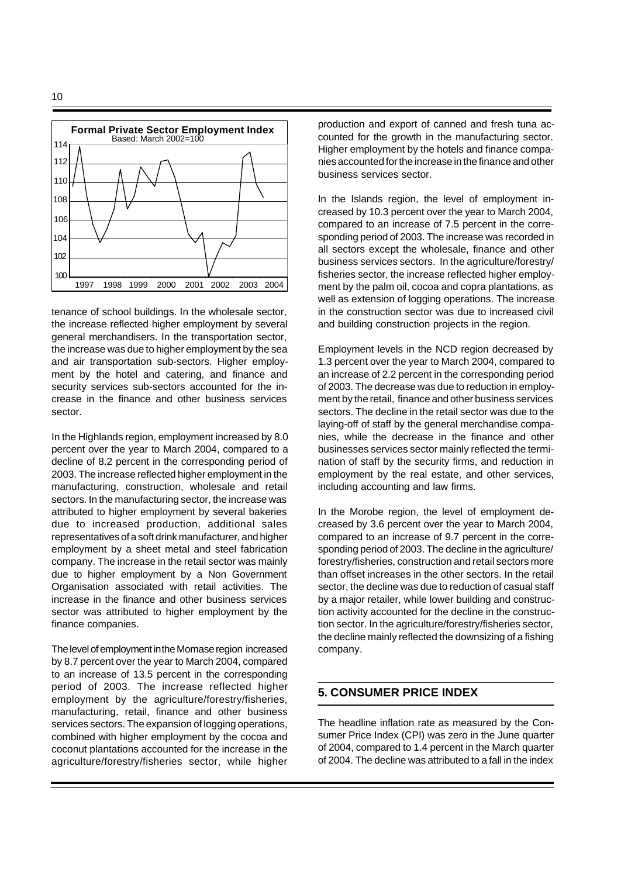

tenance of school buildings. In the wholesale sector, the increase reflected higher employment by several general merchandisers. In the transportation sector, the increase was due to higher employment by the sea and air transportation sub-sectors. Higher employment by the hotel and catering, and finance and security services sub-sectors accounted for the increase in the finance and other business services sector.

In the Highlands region, employment increased by 8.0 percent over the year to March 2004, compared to a decline of 8.2 percent in the corresponding period of 2003. The increase reflected higher employment in the manufacturing, construction, wholesale and retail sectors. In the manufacturing sector, the increase was attributed to higher employment by several bakeries due to increased production, additional sales representatives of a soft drink manufacturer, and higher employment by a sheet metal and steel fabrication company. The increase in the retail sector was mainly due to higher employment by a Non Government Organisation associated with retail activities. The increase in the finance and other business services sector was attributed to higher employment by the finance companies.

The level of employment in the Momase region increased by 8.7 percent over the year to March 2004, compared to an increase of 13.5 percent in the corresponding period of 2003. The increase reflected higher employment by the agriculture/forestry/fisheries, manufacturing, retail, finance and other business services sectors. The expansion of logging operations, combined with higher employment by the cocoa and coconut plantations accounted for the increase in the agriculture/forestry/fisheries sector, while higher

production and export of canned and fresh tuna accounted for the growth in the manufacturing sector. Higher employment by the hotels and finance companies accounted for the increase in the finance and other business services sector.

In the Islands region, the level of employment increased by 10.3 percent over the year to March 2004, compared to an increase of 7.5 percent in the corresponding period of 2003. The increase was recorded in all sectors except the wholesale, finance and other business services sectors. In the agriculture/forestry/ fisheries sector, the increase reflected higher employment by the palm oil, cocoa and copra plantations, as well as extension of logging operations. The increase in the construction sector was due to increased civil and building construction projects in the region.

Employment levels in the NCD region decreased by 1.3 percent over the year to March 2004, compared to an increase of 2.2 percent in the corresponding period of 2003. The decrease was due to reduction in employment by the retail, finance and other business services sectors. The decline in the retail sector was due to the laying-off of staff by the general merchandise companies, while the decrease in the finance and other businesses services sector mainly reflected the termination of staff by the security firms, and reduction in employment by the real estate, and other services, including accounting and law firms.

In the Morobe region, the level of employment decreased by 3.6 percent over the year to March 2004, compared to an increase of 9.7 percent in the corresponding period of 2003. The decline in the agriculture/ forestry/fisheries, construction and retail sectors more than offset increases in the other sectors. In the retail sector, the decline was due to reduction of casual staff by a major retailer, while lower building and construction activity accounted for the decline in the construction sector. In the agriculture/forestry/fisheries sector, the decline mainly reflected the downsizing of a fishing company.

## **5. CONSUMER PRICE INDEX**

The headline inflation rate as measured by the Consumer Price Index (CPI) was zero in the June quarter of 2004, compared to 1.4 percent in the March quarter of 2004. The decline was attributed to a fall in the index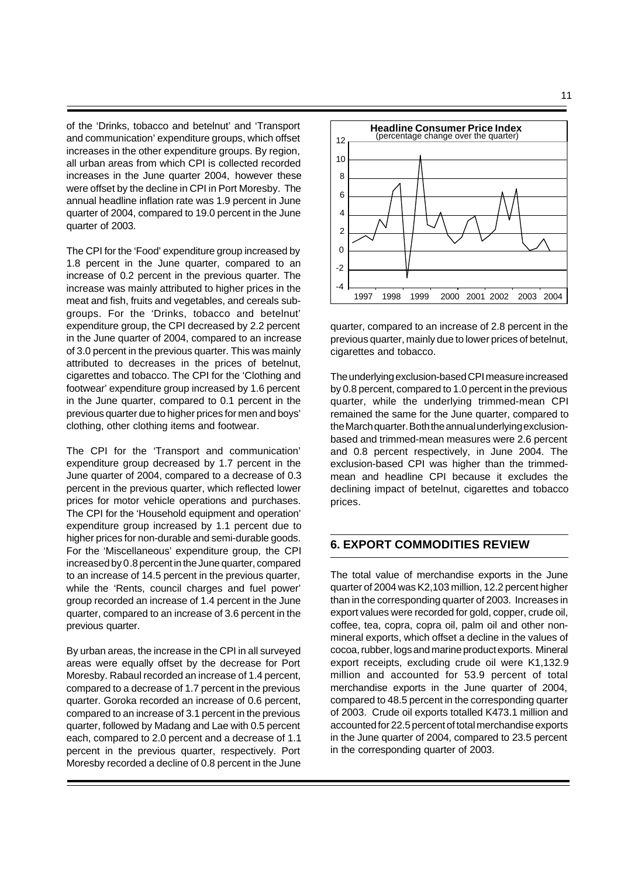of the 'Drinks, tobacco and betelnut' and 'Transport and communication' expenditure groups, which offset increases in the other expenditure groups. By region, all urban areas from which CPI is collected recorded increases in the June quarter 2004, however these were offset by the decline in CPI in Port Moresby. The annual headline inflation rate was 1.9 percent in June quarter of 2004, compared to 19.0 percent in the June quarter of 2003.

The CPI for the 'Food' expenditure group increased by 1.8 percent in the June quarter, compared to an increase of 0.2 percent in the previous quarter. The increase was mainly attributed to higher prices in the meat and fish, fruits and vegetables, and cereals subgroups. For the 'Drinks, tobacco and betelnut' expenditure group, the CPI decreased by 2.2 percent in the June quarter of 2004, compared to an increase of 3.0 percent in the previous quarter. This was mainly attributed to decreases in the prices of betelnut, cigarettes and tobacco. The CPI for the 'Clothing and footwear' expenditure group increased by 1.6 percent in the June quarter, compared to 0.1 percent in the previous quarter due to higher prices for men and boys' clothing, other clothing items and footwear.

The CPI for the 'Transport and communication' expenditure group decreased by 1.7 percent in the June quarter of 2004, compared to a decrease of 0.3 percent in the previous quarter, which reflected lower prices for motor vehicle operations and purchases. The CPI for the 'Household equipment and operation' expenditure group increased by 1.1 percent due to higher prices for non-durable and semi-durable goods. For the 'Miscellaneous' expenditure group, the CPI increased by 0.8 percent in the June quarter, compared to an increase of 14.5 percent in the previous quarter, while the 'Rents, council charges and fuel power' group recorded an increase of 1.4 percent in the June quarter, compared to an increase of 3.6 percent in the previous quarter.

By urban areas, the increase in the CPI in all surveyed areas were equally offset by the decrease for Port Moresby. Rabaul recorded an increase of 1.4 percent, compared to a decrease of 1.7 percent in the previous quarter. Goroka recorded an increase of 0.6 percent, compared to an increase of 3.1 percent in the previous quarter, followed by Madang and Lae with 0.5 percent each, compared to 2.0 percent and a decrease of 1.1 percent in the previous quarter, respectively. Port Moresby recorded a decline of 0.8 percent in the June



quarter, compared to an increase of 2.8 percent in the previous quarter, mainly due to lower prices of betelnut, cigarettes and tobacco.

The underlying exclusion-based CPI measure increased by 0.8 percent, compared to 1.0 percent in the previous quarter, while the underlying trimmed-mean CPI remained the same for the June quarter, compared to the March quarter. Both the annual underlying exclusionbased and trimmed-mean measures were 2.6 percent and 0.8 percent respectively, in June 2004. The exclusion-based CPI was higher than the trimmedmean and headline CPI because it excludes the declining impact of betelnut, cigarettes and tobacco prices.

## **6. EXPORT COMMODITIES REVIEW**

The total value of merchandise exports in the June quarter of 2004 was K2,103 million, 12.2 percent higher than in the corresponding quarter of 2003. Increases in export values were recorded for gold, copper, crude oil, coffee, tea, copra, copra oil, palm oil and other nonmineral exports, which offset a decline in the values of cocoa, rubber, logs and marine product exports. Mineral export receipts, excluding crude oil were K1,132.9 million and accounted for 53.9 percent of total merchandise exports in the June quarter of 2004, compared to 48.5 percent in the corresponding quarter of 2003. Crude oil exports totalled K473.1 million and accounted for 22.5 percent of total merchandise exports in the June quarter of 2004, compared to 23.5 percent in the corresponding quarter of 2003.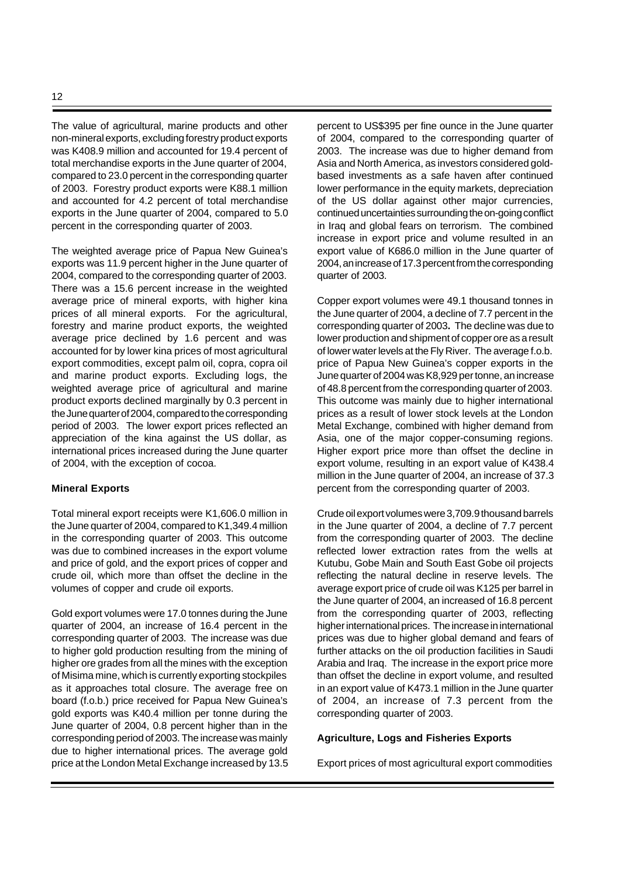The value of agricultural, marine products and other non-mineral exports, excluding forestry product exports was K408.9 million and accounted for 19.4 percent of total merchandise exports in the June quarter of 2004, compared to 23.0 percent in the corresponding quarter of 2003. Forestry product exports were K88.1 million and accounted for 4.2 percent of total merchandise exports in the June quarter of 2004, compared to 5.0 percent in the corresponding quarter of 2003.

The weighted average price of Papua New Guinea's exports was 11.9 percent higher in the June quarter of 2004, compared to the corresponding quarter of 2003. There was a 15.6 percent increase in the weighted average price of mineral exports, with higher kina prices of all mineral exports. For the agricultural, forestry and marine product exports, the weighted average price declined by 1.6 percent and was accounted for by lower kina prices of most agricultural export commodities, except palm oil, copra, copra oil and marine product exports. Excluding logs, the weighted average price of agricultural and marine product exports declined marginally by 0.3 percent in the June quarter of 2004, compared to the corresponding period of 2003. The lower export prices reflected an appreciation of the kina against the US dollar, as international prices increased during the June quarter of 2004, with the exception of cocoa.

#### **Mineral Exports**

Total mineral export receipts were K1,606.0 million in the June quarter of 2004, compared to K1,349.4 million in the corresponding quarter of 2003. This outcome was due to combined increases in the export volume and price of gold, and the export prices of copper and crude oil, which more than offset the decline in the volumes of copper and crude oil exports.

Gold export volumes were 17.0 tonnes during the June quarter of 2004, an increase of 16.4 percent in the corresponding quarter of 2003. The increase was due to higher gold production resulting from the mining of higher ore grades from all the mines with the exception of Misima mine, which is currently exporting stockpiles as it approaches total closure. The average free on board (f.o.b.) price received for Papua New Guinea's gold exports was K40.4 million per tonne during the June quarter of 2004, 0.8 percent higher than in the corresponding period of 2003. The increase was mainly due to higher international prices. The average gold price at the London Metal Exchange increased by 13.5

percent to US\$395 per fine ounce in the June quarter of 2004, compared to the corresponding quarter of 2003. The increase was due to higher demand from Asia and North America, as investors considered goldbased investments as a safe haven after continued lower performance in the equity markets, depreciation of the US dollar against other major currencies, continued uncertainties surrounding the on-going conflict in Iraq and global fears on terrorism. The combined increase in export price and volume resulted in an export value of K686.0 million in the June quarter of 2004, an increase of 17.3 percent from the corresponding quarter of 2003.

Copper export volumes were 49.1 thousand tonnes in the June quarter of 2004, a decline of 7.7 percent in the corresponding quarter of 2003**.** The decline was due to lower production and shipment of copper ore as a result of lower water levels at the Fly River. The average f.o.b. price of Papua New Guinea's copper exports in the June quarter of 2004 was K8,929 per tonne, an increase of 48.8 percent from the corresponding quarter of 2003. This outcome was mainly due to higher international prices as a result of lower stock levels at the London Metal Exchange, combined with higher demand from Asia, one of the major copper-consuming regions. Higher export price more than offset the decline in export volume, resulting in an export value of K438.4 million in the June quarter of 2004, an increase of 37.3 percent from the corresponding quarter of 2003.

Crude oil export volumes were 3,709.9 thousand barrels in the June quarter of 2004, a decline of 7.7 percent from the corresponding quarter of 2003. The decline reflected lower extraction rates from the wells at Kutubu, Gobe Main and South East Gobe oil projects reflecting the natural decline in reserve levels. The average export price of crude oil was K125 per barrel in the June quarter of 2004, an increased of 16.8 percent from the corresponding quarter of 2003, reflecting higher international prices. The increase in international prices was due to higher global demand and fears of further attacks on the oil production facilities in Saudi Arabia and Iraq. The increase in the export price more than offset the decline in export volume, and resulted in an export value of K473.1 million in the June quarter of 2004, an increase of 7.3 percent from the corresponding quarter of 2003.

#### **Agriculture, Logs and Fisheries Exports**

Export prices of most agricultural export commodities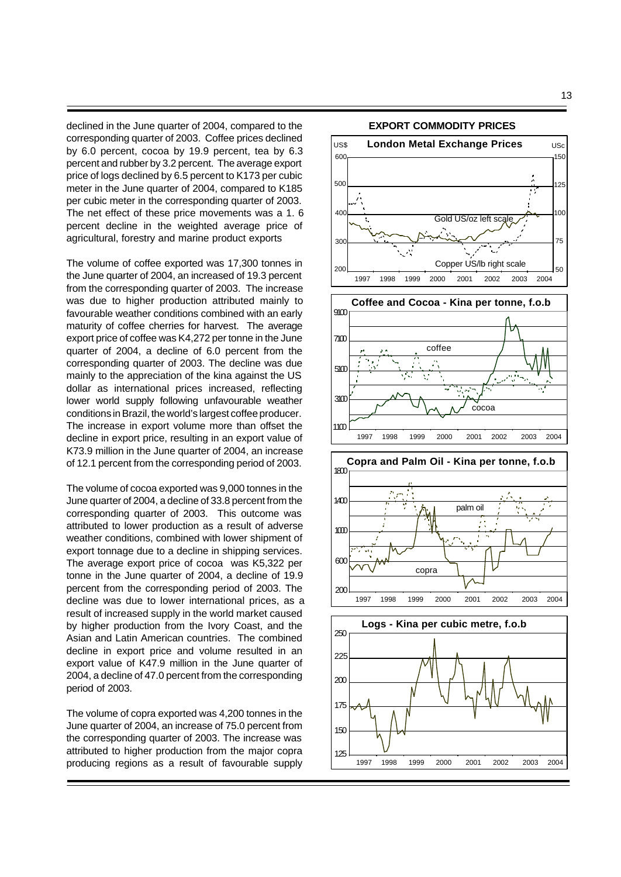declined in the June quarter of 2004, compared to the corresponding quarter of 2003. Coffee prices declined by 6.0 percent, cocoa by 19.9 percent, tea by 6.3 percent and rubber by 3.2 percent. The average export price of logs declined by 6.5 percent to K173 per cubic meter in the June quarter of 2004, compared to K185 per cubic meter in the corresponding quarter of 2003. The net effect of these price movements was a 1. 6 percent decline in the weighted average price of agricultural, forestry and marine product exports

The volume of coffee exported was 17,300 tonnes in the June quarter of 2004, an increased of 19.3 percent from the corresponding quarter of 2003. The increase was due to higher production attributed mainly to favourable weather conditions combined with an early maturity of coffee cherries for harvest.The average export price of coffee was K4,272 per tonne in the June quarter of 2004, a decline of 6.0 percent from the corresponding quarter of 2003. The decline was due mainly to the appreciation of the kina against the US dollar as international prices increased, reflecting lower world supply following unfavourable weather conditions in Brazil, the world's largest coffee producer. The increase in export volume more than offset the decline in export price, resulting in an export value of K73.9 million in the June quarter of 2004, an increase of 12.1 percent from the corresponding period of 2003.

The volume of cocoa exported was 9,000 tonnes in the June quarter of 2004, a decline of 33.8 percent from the corresponding quarter of 2003. This outcome was attributed to lower production as a result of adverse weather conditions, combined with lower shipment of export tonnage due to a decline in shipping services. The average export price of cocoa was K5,322 per tonne in the June quarter of 2004, a decline of 19.9 percent from the corresponding period of 2003. The decline was due to lower international prices, as a result of increased supply in the world market caused by higher production from the Ivory Coast, and the Asian and Latin American countries. The combined decline in export price and volume resulted in an export value of K47.9 million in the June quarter of 2004, a decline of 47.0 percent from the corresponding period of 2003.

The volume of copra exported was 4,200 tonnes in the June quarter of 2004, an increase of 75.0 percent from the corresponding quarter of 2003. The increase was attributed to higher production from the major copra producing regions as a result of favourable supply

125



1997 1998 1999 2000 2001 2002 2003 2004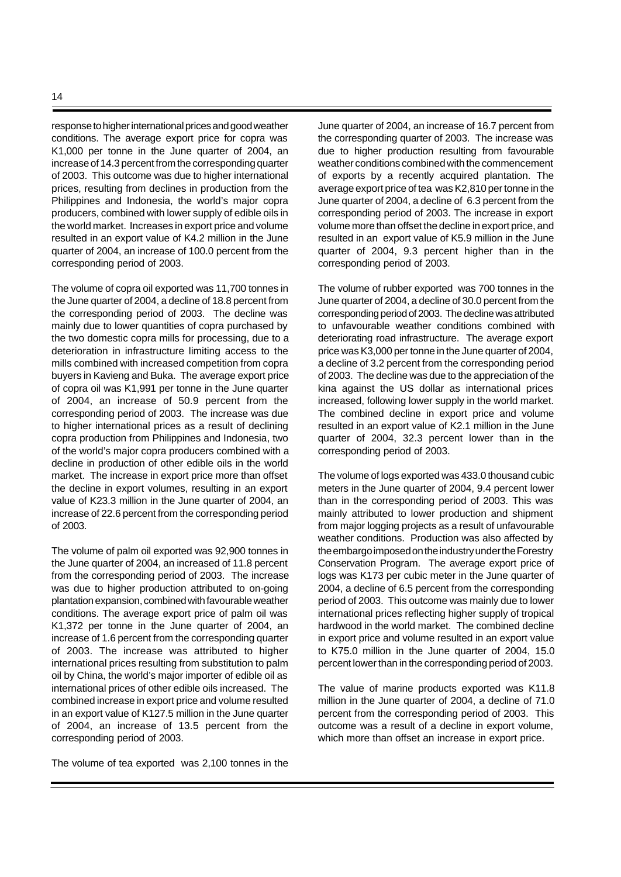response to higher international prices and good weather conditions. The average export price for copra was K1,000 per tonne in the June quarter of 2004, an increase of 14.3 percent from the corresponding quarter of 2003. This outcome was due to higher international prices, resulting from declines in production from the Philippines and Indonesia, the world's major copra producers, combined with lower supply of edible oils in the world market. Increases in export price and volume resulted in an export value of K4.2 million in the June quarter of 2004, an increase of 100.0 percent from the corresponding period of 2003.

The volume of copra oil exported was 11,700 tonnes in the June quarter of 2004, a decline of 18.8 percent from the corresponding period of 2003. The decline was mainly due to lower quantities of copra purchased by the two domestic copra mills for processing, due to a deterioration in infrastructure limiting access to the mills combined with increased competition from copra buyers in Kavieng and Buka. The average export price of copra oil was K1,991 per tonne in the June quarter of 2004, an increase of 50.9 percent from the corresponding period of 2003. The increase was due to higher international prices as a result of declining copra production from Philippines and Indonesia, two of the world's major copra producers combined with a decline in production of other edible oils in the world market. The increase in export price more than offset the decline in export volumes, resulting in an export value of K23.3 million in the June quarter of 2004, an increase of 22.6 percent from the corresponding period of 2003.

The volume of palm oil exported was 92,900 tonnes in the June quarter of 2004, an increased of 11.8 percent from the corresponding period of 2003. The increase was due to higher production attributed to on-going plantation expansion, combined with favourable weather conditions. The average export price of palm oil was K1,372 per tonne in the June quarter of 2004, an increase of 1.6 percent from the corresponding quarter of 2003. The increase was attributed to higher international prices resulting from substitution to palm oil by China, the world's major importer of edible oil as international prices of other edible oils increased. The combined increase in export price and volume resulted in an export value of K127.5 million in the June quarter of 2004, an increase of 13.5 percent from the corresponding period of 2003.

The volume of tea exported was 2,100 tonnes in the

June quarter of 2004, an increase of 16.7 percent from the corresponding quarter of 2003. The increase was due to higher production resulting from favourable weather conditions combined with the commencement of exports by a recently acquired plantation. The average export price of tea was K2,810 per tonne in the June quarter of 2004, a decline of 6.3 percent from the corresponding period of 2003. The increase in export volume more than offset the decline in export price, and resulted in an export value of K5.9 million in the June quarter of 2004, 9.3 percent higher than in the corresponding period of 2003.

The volume of rubber exported was 700 tonnes in the June quarter of 2004, a decline of 30.0 percent from the corresponding period of 2003. The decline was attributed to unfavourable weather conditions combined with deteriorating road infrastructure. The average export price was K3,000 per tonne in the June quarter of 2004, a decline of 3.2 percent from the corresponding period of 2003. The decline was due to the appreciation of the kina against the US dollar as international prices increased, following lower supply in the world market. The combined decline in export price and volume resulted in an export value of K2.1 million in the June quarter of 2004, 32.3 percent lower than in the corresponding period of 2003.

The volume of logs exported was 433.0 thousand cubic meters in the June quarter of 2004, 9.4 percent lower than in the corresponding period of 2003. This was mainly attributed to lower production and shipment from major logging projects as a result of unfavourable weather conditions. Production was also affected by the embargo imposed on the industry under the Forestry Conservation Program. The average export price of logs was K173 per cubic meter in the June quarter of 2004, a decline of 6.5 percent from the corresponding period of 2003. This outcome was mainly due to lower international prices reflecting higher supply of tropical hardwood in the world market. The combined decline in export price and volume resulted in an export value to K75.0 million in the June quarter of 2004, 15.0 percent lower than in the corresponding period of 2003.

The value of marine products exported was K11.8 million in the June quarter of 2004, a decline of 71.0 percent from the corresponding period of 2003. This outcome was a result of a decline in export volume, which more than offset an increase in export price.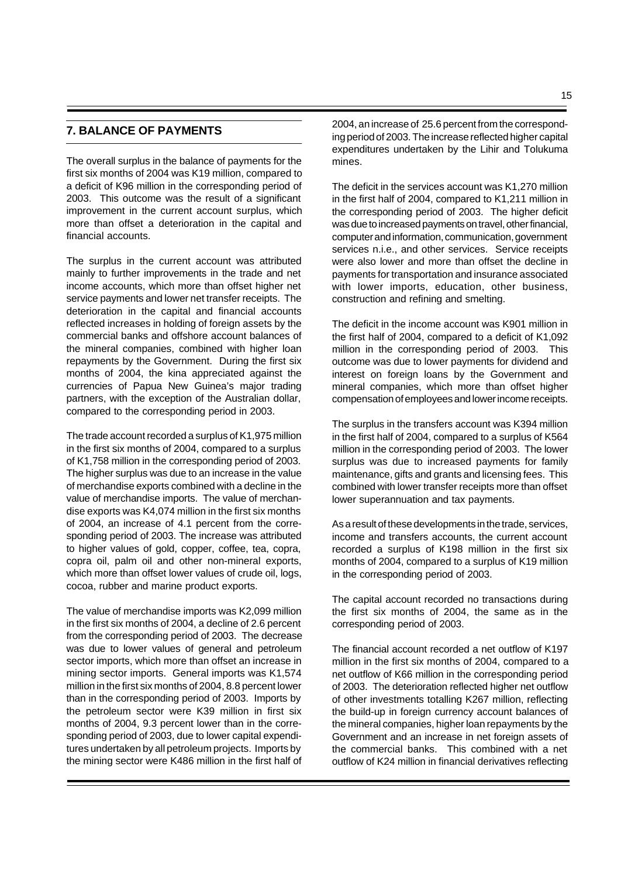## **7. BALANCE OF PAYMENTS**

The overall surplus in the balance of payments for the first six months of 2004 was K19 million, compared to a deficit of K96 million in the corresponding period of 2003. This outcome was the result of a significant improvement in the current account surplus, which more than offset a deterioration in the capital and financial accounts.

The surplus in the current account was attributed mainly to further improvements in the trade and net income accounts, which more than offset higher net service payments and lower net transfer receipts. The deterioration in the capital and financial accounts reflected increases in holding of foreign assets by the commercial banks and offshore account balances of the mineral companies, combined with higher loan repayments by the Government. During the first six months of 2004, the kina appreciated against the currencies of Papua New Guinea's major trading partners, with the exception of the Australian dollar, compared to the corresponding period in 2003.

The trade account recorded a surplus of K1,975 million in the first six months of 2004, compared to a surplus of K1,758 million in the corresponding period of 2003. The higher surplus was due to an increase in the value of merchandise exports combined with a decline in the value of merchandise imports. The value of merchandise exports was K4,074 million in the first six months of 2004, an increase of 4.1 percent from the corresponding period of 2003. The increase was attributed to higher values of gold, copper, coffee, tea, copra, copra oil, palm oil and other non-mineral exports, which more than offset lower values of crude oil, logs, cocoa, rubber and marine product exports.

The value of merchandise imports was K2,099 million in the first six months of 2004, a decline of 2.6 percent from the corresponding period of 2003. The decrease was due to lower values of general and petroleum sector imports, which more than offset an increase in mining sector imports. General imports was K1,574 million in the first six months of 2004, 8.8 percent lower than in the corresponding period of 2003. Imports by the petroleum sector were K39 million in first six months of 2004, 9.3 percent lower than in the corresponding period of 2003, due to lower capital expenditures undertaken by all petroleum projects. Imports by the mining sector were K486 million in the first half of

2004, an increase of 25.6 percent from the corresponding period of 2003. The increase reflected higher capital expenditures undertaken by the Lihir and Tolukuma mines.

The deficit in the services account was K1,270 million in the first half of 2004, compared to K1,211 million in the corresponding period of 2003. The higher deficit was due to increased payments on travel, other financial, computer and information, communication, government services n.i.e., and other services. Service receipts were also lower and more than offset the decline in payments for transportation and insurance associated with lower imports, education, other business, construction and refining and smelting.

The deficit in the income account was K901 million in the first half of 2004, compared to a deficit of K1,092 million in the corresponding period of 2003. This outcome was due to lower payments for dividend and interest on foreign loans by the Government and mineral companies, which more than offset higher compensation of employees and lower income receipts.

The surplus in the transfers account was K394 million in the first half of 2004, compared to a surplus of K564 million in the corresponding period of 2003. The lower surplus was due to increased payments for family maintenance, gifts and grants and licensing fees. This combined with lower transfer receipts more than offset lower superannuation and tax payments.

As a result of these developments in the trade, services, income and transfers accounts, the current account recorded a surplus of K198 million in the first six months of 2004, compared to a surplus of K19 million in the corresponding period of 2003.

The capital account recorded no transactions during the first six months of 2004, the same as in the corresponding period of 2003.

The financial account recorded a net outflow of K197 million in the first six months of 2004, compared to a net outflow of K66 million in the corresponding period of 2003. The deterioration reflected higher net outflow of other investments totalling K267 million, reflecting the build-up in foreign currency account balances of the mineral companies, higher loan repayments by the Government and an increase in net foreign assets of the commercial banks. This combined with a net outflow of K24 million in financial derivatives reflecting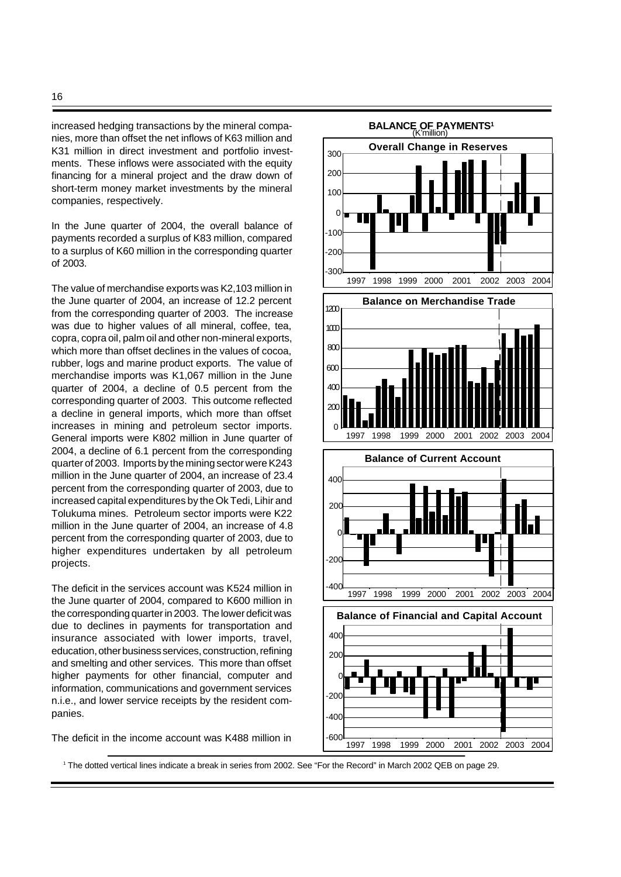increased hedging transactions by the mineral companies, more than offset the net inflows of K63 million and K31 million in direct investment and portfolio investments. These inflows were associated with the equity financing for a mineral project and the draw down of short-term money market investments by the mineral companies, respectively.

In the June quarter of 2004, the overall balance of payments recorded a surplus of K83 million, compared to a surplus of K60 million in the corresponding quarter of 2003.

The value of merchandise exports was K2,103 million in the June quarter of 2004, an increase of 12.2 percent from the corresponding quarter of 2003. The increase was due to higher values of all mineral, coffee, tea, copra, copra oil, palm oil and other non-mineral exports, which more than offset declines in the values of cocoa, rubber, logs and marine product exports. The value of merchandise imports was K1,067 million in the June quarter of 2004, a decline of 0.5 percent from the corresponding quarter of 2003. This outcome reflected a decline in general imports, which more than offset increases in mining and petroleum sector imports. General imports were K802 million in June quarter of 2004, a decline of 6.1 percent from the corresponding quarter of 2003. Imports by the mining sector were K243 million in the June quarter of 2004, an increase of 23.4 percent from the corresponding quarter of 2003, due to increased capital expenditures by the Ok Tedi, Lihir and Tolukuma mines. Petroleum sector imports were K22 million in the June quarter of 2004, an increase of 4.8 percent from the corresponding quarter of 2003, due to higher expenditures undertaken by all petroleum projects.

The deficit in the services account was K524 million in the June quarter of 2004, compared to K600 million in the corresponding quarter in 2003. The lower deficit was due to declines in payments for transportation and insurance associated with lower imports, travel, education, other business services, construction, refining and smelting and other services. This more than offset higher payments for other financial, computer and information, communications and government services n.i.e., and lower service receipts by the resident companies.

The deficit in the income account was K488 million in



1 The dotted vertical lines indicate a break in series from 2002. See "For the Record" in March 2002 QEB on page 29.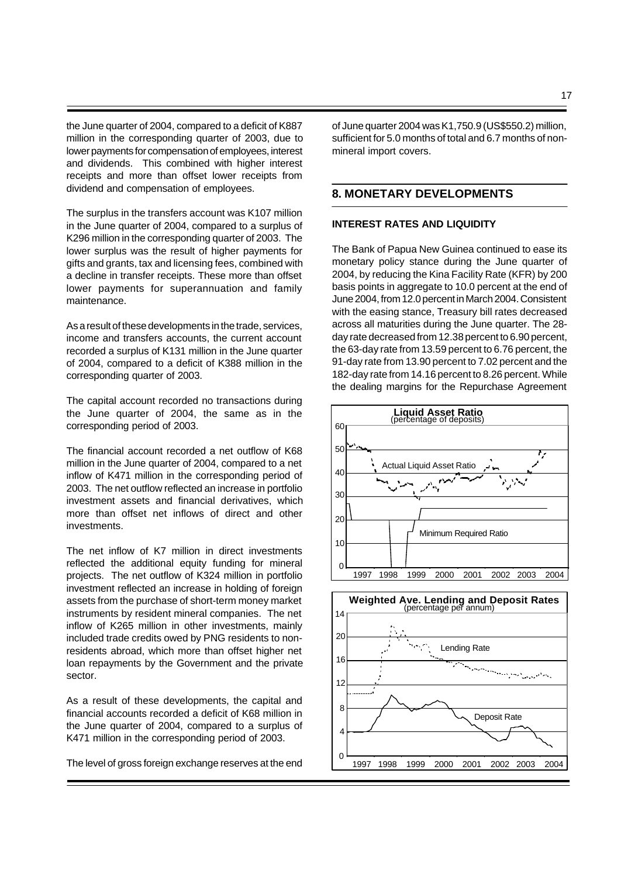the June quarter of 2004, compared to a deficit of K887 million in the corresponding quarter of 2003, due to lower payments for compensation of employees, interest and dividends. This combined with higher interest receipts and more than offset lower receipts from dividend and compensation of employees.

The surplus in the transfers account was K107 million in the June quarter of 2004, compared to a surplus of K296 million in the corresponding quarter of 2003. The lower surplus was the result of higher payments for gifts and grants, tax and licensing fees, combined with a decline in transfer receipts. These more than offset lower payments for superannuation and family maintenance.

As a result of these developments in the trade, services, income and transfers accounts, the current account recorded a surplus of K131 million in the June quarter of 2004, compared to a deficit of K388 million in the corresponding quarter of 2003.

The capital account recorded no transactions during the June quarter of 2004, the same as in the corresponding period of 2003.

The financial account recorded a net outflow of K68 million in the June quarter of 2004, compared to a net inflow of K471 million in the corresponding period of 2003. The net outflow reflected an increase in portfolio investment assets and financial derivatives, which more than offset net inflows of direct and other investments.

The net inflow of K7 million in direct investments reflected the additional equity funding for mineral projects. The net outflow of K324 million in portfolio investment reflected an increase in holding of foreign assets from the purchase of short-term money market instruments by resident mineral companies. The net inflow of K265 million in other investments, mainly included trade credits owed by PNG residents to nonresidents abroad, which more than offset higher net loan repayments by the Government and the private sector.

As a result of these developments, the capital and financial accounts recorded a deficit of K68 million in the June quarter of 2004, compared to a surplus of K471 million in the corresponding period of 2003.

The level of gross foreign exchange reserves at the end

of June quarter 2004 was K1,750.9 (US\$550.2) million, sufficient for 5.0 months of total and 6.7 months of nonmineral import covers.

### **8. MONETARY DEVELOPMENTS**

#### **INTEREST RATES AND LIQUIDITY**

The Bank of Papua New Guinea continued to ease its monetary policy stance during the June quarter of 2004, by reducing the Kina Facility Rate (KFR) by 200 basis points in aggregate to 10.0 percent at the end of June 2004, from 12.0 percent in March 2004. Consistent with the easing stance, Treasury bill rates decreased across all maturities during the June quarter. The 28 day rate decreased from 12.38 percent to 6.90 percent, the 63-day rate from 13.59 percent to 6.76 percent, the 91-day rate from 13.90 percent to 7.02 percent and the 182-day rate from 14.16 percent to 8.26 percent. While the dealing margins for the Repurchase Agreement



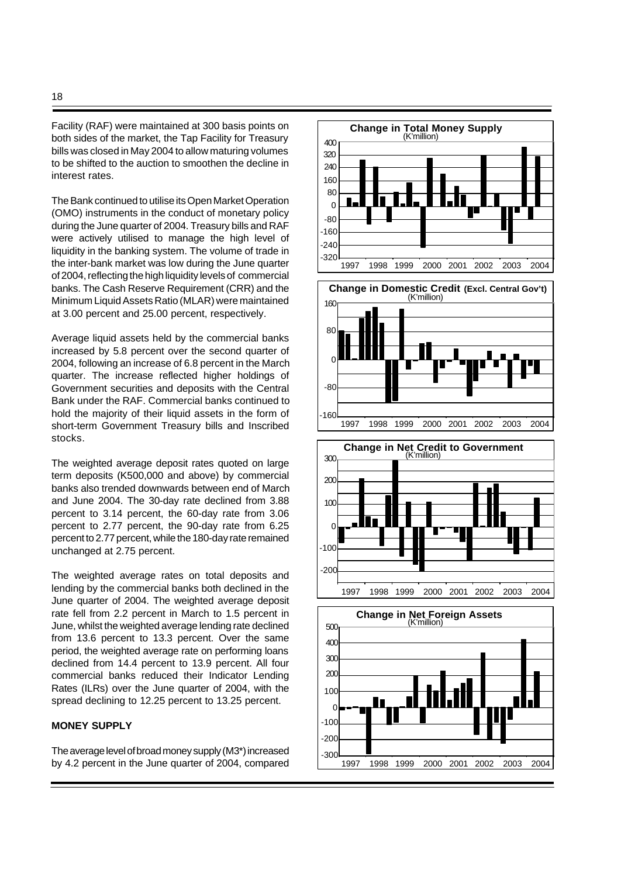Facility (RAF) were maintained at 300 basis points on both sides of the market, the Tap Facility for Treasury bills was closed in May 2004 to allow maturing volumes to be shifted to the auction to smoothen the decline in interest rates.

The Bank continued to utilise its Open Market Operation (OMO) instruments in the conduct of monetary policy during the June quarter of 2004. Treasury bills and RAF were actively utilised to manage the high level of liquidity in the banking system. The volume of trade in the inter-bank market was low during the June quarter of 2004, reflecting the high liquidity levels of commercial banks. The Cash Reserve Requirement (CRR) and the Minimum Liquid Assets Ratio (MLAR) were maintained at 3.00 percent and 25.00 percent, respectively.

Average liquid assets held by the commercial banks increased by 5.8 percent over the second quarter of 2004, following an increase of 6.8 percent in the March quarter. The increase reflected higher holdings of Government securities and deposits with the Central Bank under the RAF. Commercial banks continued to hold the majority of their liquid assets in the form of short-term Government Treasury bills and Inscribed stocks.

The weighted average deposit rates quoted on large term deposits (K500,000 and above) by commercial banks also trended downwards between end of March and June 2004. The 30-day rate declined from 3.88 percent to 3.14 percent, the 60-day rate from 3.06 percent to 2.77 percent, the 90-day rate from 6.25 percent to 2.77 percent, while the 180-day rate remained unchanged at 2.75 percent.

The weighted average rates on total deposits and lending by the commercial banks both declined in the June quarter of 2004. The weighted average deposit rate fell from 2.2 percent in March to 1.5 percent in June, whilst the weighted average lending rate declined from 13.6 percent to 13.3 percent. Over the same period, the weighted average rate on performing loans declined from 14.4 percent to 13.9 percent. All four commercial banks reduced their Indicator Lending Rates (ILRs) over the June quarter of 2004, with the spread declining to 12.25 percent to 13.25 percent.

## **MONEY SUPPLY**

The average level of broad money supply (M3\*) increased by 4.2 percent in the June quarter of 2004, compared

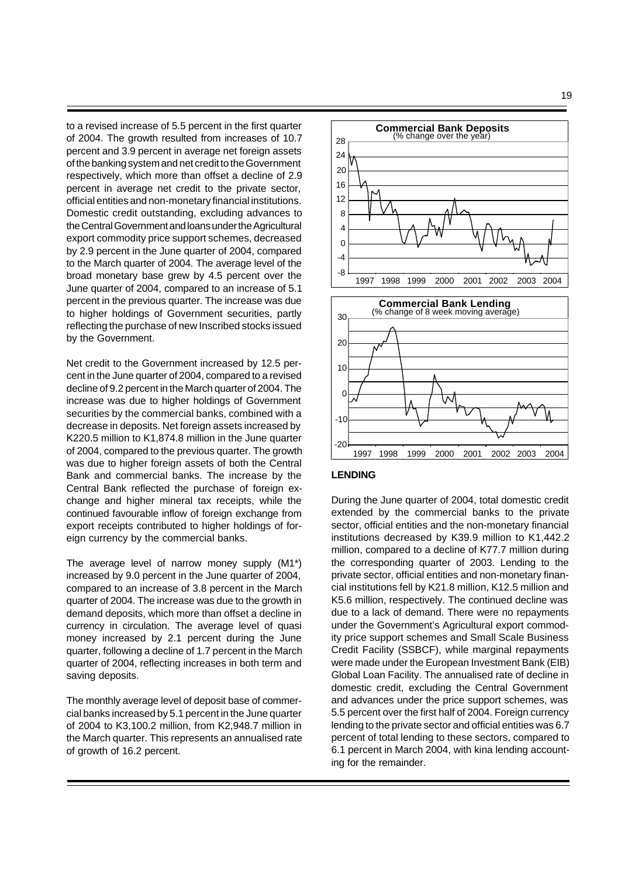to a revised increase of 5.5 percent in the first quarter of 2004. The growth resulted from increases of 10.7 percent and 3.9 percent in average net foreign assets of the banking system and net credit to the Government respectively, which more than offset a decline of 2.9 percent in average net credit to the private sector, official entities and non-monetary financial institutions. Domestic credit outstanding, excluding advances to the Central Government and loans under the Agricultural export commodity price support schemes, decreased by 2.9 percent in the June quarter of 2004, compared to the March quarter of 2004. The average level of the broad monetary base grew by 4.5 percent over the June quarter of 2004, compared to an increase of 5.1 percent in the previous quarter. The increase was due to higher holdings of Government securities, partly reflecting the purchase of new Inscribed stocks issued by the Government.

Net credit to the Government increased by 12.5 percent in the June quarter of 2004, compared to a revised decline of 9.2 percent in the March quarter of 2004. The increase was due to higher holdings of Government securities by the commercial banks, combined with a decrease in deposits. Net foreign assets increased by K220.5 million to K1,874.8 million in the June quarter of 2004, compared to the previous quarter. The growth was due to higher foreign assets of both the Central Bank and commercial banks. The increase by the Central Bank reflected the purchase of foreign exchange and higher mineral tax receipts, while the continued favourable inflow of foreign exchange from export receipts contributed to higher holdings of foreign currency by the commercial banks.

The average level of narrow money supply (M1\*) increased by 9.0 percent in the June quarter of 2004, compared to an increase of 3.8 percent in the March quarter of 2004. The increase was due to the growth in demand deposits, which more than offset a decline in currency in circulation. The average level of quasi money increased by 2.1 percent during the June quarter, following a decline of 1.7 percent in the March quarter of 2004, reflecting increases in both term and saving deposits.

The monthly average level of deposit base of commercial banks increased by 5.1 percent in the June quarter of 2004 to K3,100.2 million, from K2,948.7 million in the March quarter. This represents an annualised rate of growth of 16.2 percent.



### **LENDING**

During the June quarter of 2004, total domestic credit extended by the commercial banks to the private sector, official entities and the non-monetary financial institutions decreased by K39.9 million to K1,442.2 million, compared to a decline of K77.7 million during the corresponding quarter of 2003. Lending to the private sector, official entities and non-monetary financial institutions fell by K21.8 million, K12.5 million and K5.6 million, respectively. The continued decline was due to a lack of demand. There were no repayments under the Government's Agricultural export commodity price support schemes and Small Scale Business Credit Facility (SSBCF), while marginal repayments were made under the European Investment Bank (EIB) Global Loan Facility. The annualised rate of decline in domestic credit, excluding the Central Government and advances under the price support schemes, was 5.5 percent over the first half of 2004. Foreign currency lending to the private sector and official entities was 6.7 percent of total lending to these sectors, compared to 6.1 percent in March 2004, with kina lending accounting for the remainder.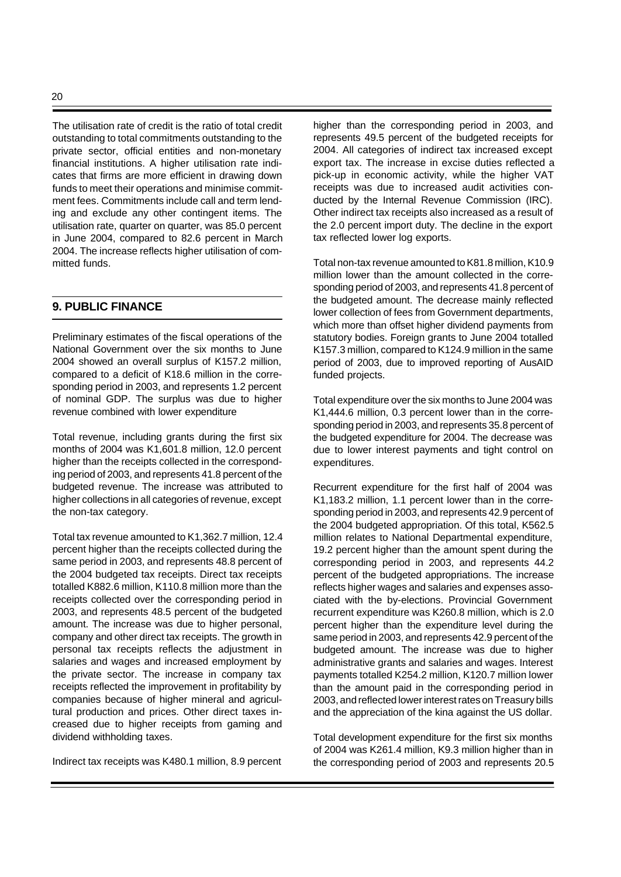The utilisation rate of credit is the ratio of total credit outstanding to total commitments outstanding to the private sector, official entities and non-monetary financial institutions. A higher utilisation rate indicates that firms are more efficient in drawing down funds to meet their operations and minimise commitment fees. Commitments include call and term lending and exclude any other contingent items. The utilisation rate, quarter on quarter, was 85.0 percent in June 2004, compared to 82.6 percent in March 2004. The increase reflects higher utilisation of committed funds.

## **9. PUBLIC FINANCE**

Preliminary estimates of the fiscal operations of the National Government over the six months to June 2004 showed an overall surplus of K157.2 million, compared to a deficit of K18.6 million in the corresponding period in 2003, and represents 1.2 percent of nominal GDP. The surplus was due to higher revenue combined with lower expenditure

Total revenue, including grants during the first six months of 2004 was K1,601.8 million, 12.0 percent higher than the receipts collected in the corresponding period of 2003, and represents 41.8 percent of the budgeted revenue. The increase was attributed to higher collections in all categories of revenue, except the non-tax category.

Total tax revenue amounted to K1,362.7 million, 12.4 percent higher than the receipts collected during the same period in 2003, and represents 48.8 percent of the 2004 budgeted tax receipts. Direct tax receipts totalled K882.6 million, K110.8 million more than the receipts collected over the corresponding period in 2003, and represents 48.5 percent of the budgeted amount. The increase was due to higher personal, company and other direct tax receipts. The growth in personal tax receipts reflects the adjustment in salaries and wages and increased employment by the private sector. The increase in company tax receipts reflected the improvement in profitability by companies because of higher mineral and agricultural production and prices. Other direct taxes increased due to higher receipts from gaming and dividend withholding taxes.

Indirect tax receipts was K480.1 million, 8.9 percent

higher than the corresponding period in 2003, and represents 49.5 percent of the budgeted receipts for 2004. All categories of indirect tax increased except export tax. The increase in excise duties reflected a pick-up in economic activity, while the higher VAT receipts was due to increased audit activities conducted by the Internal Revenue Commission (IRC). Other indirect tax receipts also increased as a result of the 2.0 percent import duty. The decline in the export tax reflected lower log exports.

Total non-tax revenue amounted to K81.8 million, K10.9 million lower than the amount collected in the corresponding period of 2003, and represents 41.8 percent of the budgeted amount. The decrease mainly reflected lower collection of fees from Government departments, which more than offset higher dividend payments from statutory bodies. Foreign grants to June 2004 totalled K157.3 million, compared to K124.9 million in the same period of 2003, due to improved reporting of AusAID funded projects.

Total expenditure over the six months to June 2004 was K1,444.6 million, 0.3 percent lower than in the corresponding period in 2003, and represents 35.8 percent of the budgeted expenditure for 2004. The decrease was due to lower interest payments and tight control on expenditures.

Recurrent expenditure for the first half of 2004 was K1,183.2 million, 1.1 percent lower than in the corresponding period in 2003, and represents 42.9 percent of the 2004 budgeted appropriation. Of this total, K562.5 million relates to National Departmental expenditure, 19.2 percent higher than the amount spent during the corresponding period in 2003, and represents 44.2 percent of the budgeted appropriations. The increase reflects higher wages and salaries and expenses associated with the by-elections. Provincial Government recurrent expenditure was K260.8 million, which is 2.0 percent higher than the expenditure level during the same period in 2003, and represents 42.9 percent of the budgeted amount. The increase was due to higher administrative grants and salaries and wages. Interest payments totalled K254.2 million, K120.7 million lower than the amount paid in the corresponding period in 2003, and reflected lower interest rates on Treasury bills and the appreciation of the kina against the US dollar.

Total development expenditure for the first six months of 2004 was K261.4 million, K9.3 million higher than in the corresponding period of 2003 and represents 20.5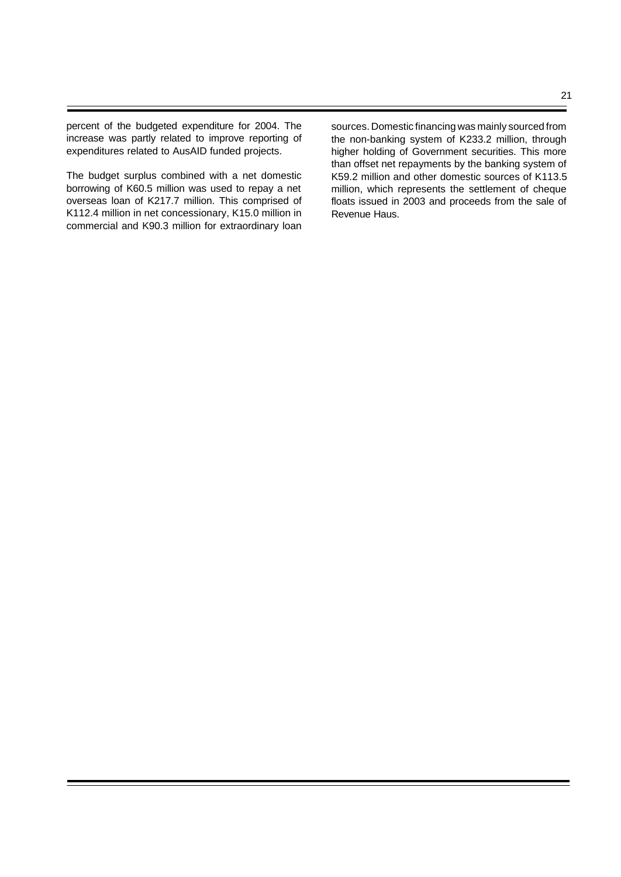percent of the budgeted expenditure for 2004. The increase was partly related to improve reporting of expenditures related to AusAID funded projects.

The budget surplus combined with a net domestic borrowing of K60.5 million was used to repay a net overseas loan of K217.7 million. This comprised of K112.4 million in net concessionary, K15.0 million in commercial and K90.3 million for extraordinary loan sources. Domestic financing was mainly sourced from the non-banking system of K233.2 million, through higher holding of Government securities. This more than offset net repayments by the banking system of K59.2 million and other domestic sources of K113.5 million, which represents the settlement of cheque floats issued in 2003 and proceeds from the sale of Revenue Haus.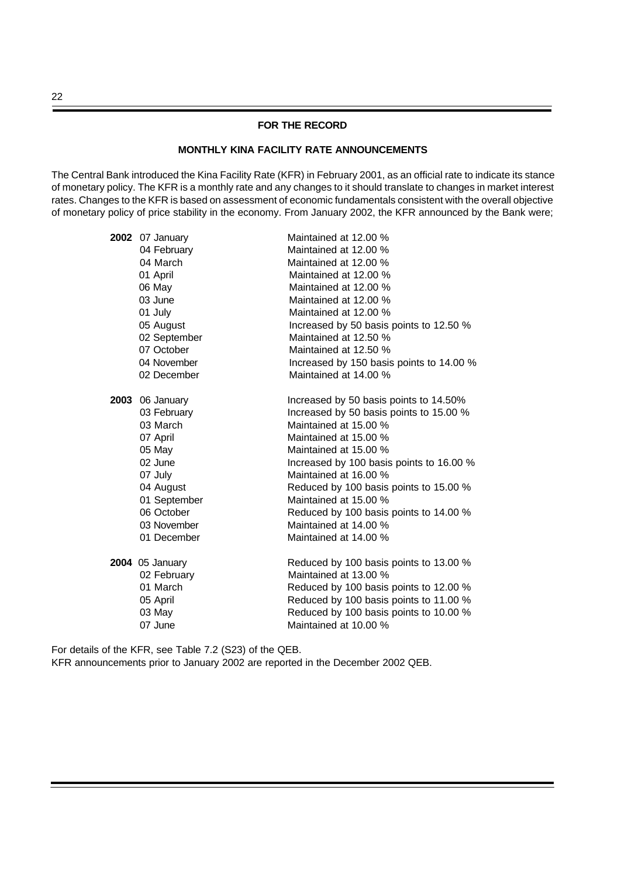### **FOR THE RECORD**

## **MONTHLY KINA FACILITY RATE ANNOUNCEMENTS**

The Central Bank introduced the Kina Facility Rate (KFR) in February 2001, as an official rate to indicate its stance of monetary policy. The KFR is a monthly rate and any changes to it should translate to changes in market interest rates. Changes to the KFR is based on assessment of economic fundamentals consistent with the overall objective of monetary policy of price stability in the economy. From January 2002, the KFR announced by the Bank were;

| 2002 | 07 January             | Maintained at 12.00 %                    |
|------|------------------------|------------------------------------------|
|      | 04 February            | Maintained at 12.00 %                    |
|      | 04 March               | Maintained at 12.00 %                    |
|      | 01 April               | Maintained at 12.00 %                    |
|      | 06 May                 | Maintained at 12.00 %                    |
|      | 03 June                | Maintained at 12.00 %                    |
|      | 01 July                | Maintained at 12.00 %                    |
|      | 05 August              | Increased by 50 basis points to 12.50 %  |
|      | 02 September           | Maintained at 12.50 %                    |
|      | 07 October             | Maintained at 12.50 %                    |
|      | 04 November            | Increased by 150 basis points to 14.00 % |
|      | 02 December            | Maintained at 14.00 %                    |
|      | <b>2003</b> 06 January | Increased by 50 basis points to 14.50%   |
|      | 03 February            | Increased by 50 basis points to 15.00 %  |
|      | 03 March               | Maintained at 15.00 %                    |
|      | 07 April               | Maintained at 15.00 %                    |
|      | 05 May                 | Maintained at 15.00 %                    |
|      | 02 June                | Increased by 100 basis points to 16.00 % |
|      | 07 July                | Maintained at 16.00 %                    |
|      | 04 August              | Reduced by 100 basis points to 15.00 %   |
|      | 01 September           | Maintained at 15.00 %                    |
|      | 06 October             | Reduced by 100 basis points to 14.00 %   |
|      | 03 November            | Maintained at 14.00 %                    |
|      | 01 December            | Maintained at 14.00 %                    |
|      | <b>2004</b> 05 January | Reduced by 100 basis points to 13.00 %   |
|      | 02 February            | Maintained at 13.00 %                    |
|      | 01 March               | Reduced by 100 basis points to 12.00 %   |
|      | 05 April               | Reduced by 100 basis points to 11.00 %   |
|      | 03 May                 | Reduced by 100 basis points to 10.00 %   |
|      | 07 June                | Maintained at 10.00 %                    |

For details of the KFR, see Table 7.2 (S23) of the QEB. KFR announcements prior to January 2002 are reported in the December 2002 QEB.